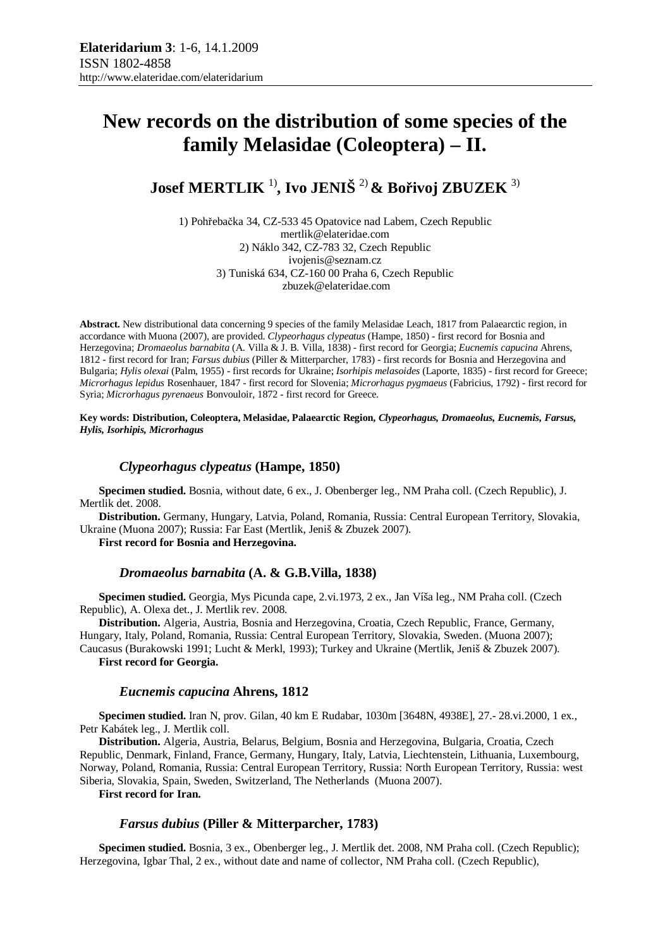# **New records on the distribution of some species of the family Melasidae (Coleoptera) – II.**

**Josef MERTLIK** 1)**, Ivo JENIŠ** 2) **& Bořivoj ZBUZEK** 3)

1) Pohřebačka 34, CZ-533 45 Opatovice nad Labem, Czech Republic mertlik@elateridae.com 2) Náklo 342, CZ-783 32, Czech Republic ivojenis@seznam.cz 3) Tuniská 634, CZ-160 00 Praha 6, Czech Republic zbuzek@elateridae.com

**Abstract.** New distributional data concerning 9 species of the family Melasidae Leach, 1817 from Palaearctic region, in accordance with Muona (2007), are provided. *Clypeorhagus clypeatus* (Hampe, 1850) - first record for Bosnia and Herzegovina; *Dromaeolus barnabita* (A. Villa & J. B. Villa, 1838) - first record for Georgia; *Eucnemis capucina* Ahrens, 1812 - first record for Iran; *Farsus dubius* (Piller & Mitterparcher, 1783) - first records for Bosnia and Herzegovina and Bulgaria; *Hylis olexai* (Palm, 1955) - first records for Ukraine; *Isorhipis melasoides* (Laporte, 1835) - first record for Greece; *Microrhagus lepidus* Rosenhauer, 1847 - first record for Slovenia; *Microrhagus pygmaeus* (Fabricius, 1792) - first record for Syria; *Microrhagus pyrenaeus* Bonvouloir, 1872 - first record for Greece.

**Key words: Distribution, Coleoptera, Melasidae, Palaearctic Region,** *Clypeorhagus, Dromaeolus, Eucnemis, Farsus, Hylis, Isorhipis, Microrhagus*

# *Clypeorhagus clypeatus* **(Hampe, 1850)**

**Specimen studied.** Bosnia, without date, 6 ex., J. Obenberger leg., NM Praha coll. (Czech Republic), J. Mertlik det. 2008.

**Distribution.** Germany, Hungary, Latvia, Poland, Romania, Russia: Central European Territory, Slovakia, Ukraine (Muona 2007); Russia: Far East (Mertlik, Jeniš & Zbuzek 2007).

**First record for Bosnia and Herzegovina.**

## *Dromaeolus barnabita* **(A. & G.B.Villa, 1838)**

**Specimen studied.** Georgia, Mys Picunda cape, 2.vi.1973, 2 ex., Jan Víša leg., NM Praha coll. (Czech Republic), A. Olexa det., J. Mertlik rev. 2008.

**Distribution.** Algeria, Austria, Bosnia and Herzegovina, Croatia, Czech Republic, France, Germany, Hungary, Italy, Poland, Romania, Russia: Central European Territory, Slovakia, Sweden. (Muona 2007); Caucasus (Burakowski 1991; Lucht & Merkl, 1993); Turkey and Ukraine (Mertlik, Jeniš & Zbuzek 2007).

**First record for Georgia.** 

#### *Eucnemis capucina* **Ahrens, 1812**

**Specimen studied.** Iran N, prov. Gilan, 40 km E Rudabar, 1030m [3648N, 4938E], 27.- 28.vi.2000, 1 ex., Petr Kabátek leg., J. Mertlik coll.

**Distribution.** Algeria, Austria, Belarus, Belgium, Bosnia and Herzegovina, Bulgaria, Croatia, Czech Republic, Denmark, Finland, France, Germany, Hungary, Italy, Latvia, Liechtenstein, Lithuania, Luxembourg, Norway, Poland, Romania, Russia: Central European Territory, Russia: North European Territory, Russia: west Siberia, Slovakia, Spain, Sweden, Switzerland, The Netherlands (Muona 2007).

**First record for Iran.** 

# *Farsus dubius* **(Piller & Mitterparcher, 1783)**

**Specimen studied.** Bosnia, 3 ex., Obenberger leg., J. Mertlik det. 2008, NM Praha coll. (Czech Republic); Herzegovina, Igbar Thal, 2 ex., without date and name of collector, NM Praha coll. (Czech Republic),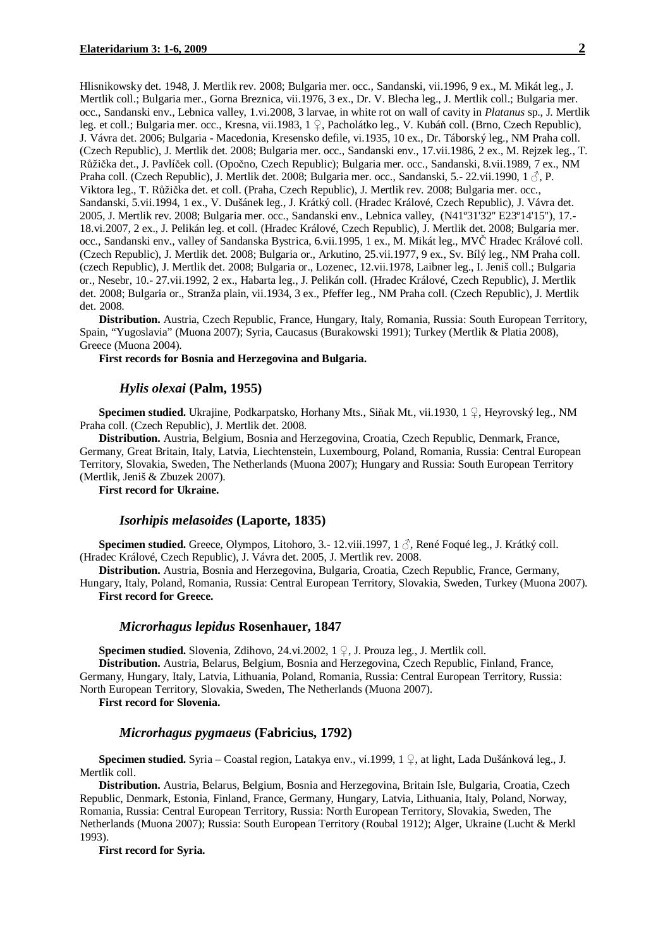Hlisnikowsky det. 1948, J. Mertlik rev. 2008; Bulgaria mer. occ., Sandanski, vii.1996, 9 ex., M. Mikát leg., J. Mertlik coll.; Bulgaria mer., Gorna Breznica, vii.1976, 3 ex., Dr. V. Blecha leg., J. Mertlik coll.; Bulgaria mer. occ., Sandanski env., Lebnica valley, 1.vi.2008, 3 larvae, in white rot on wall of cavity in *Platanus* sp., J. Mertlik leg. et coll.; Bulgaria mer. occ., Kresna, vii.1983, 1 ♀, Pacholátko leg., V. Kubáň coll. (Brno, Czech Republic), J. Vávra det. 2006; Bulgaria - Macedonia, Kresensko defile, vi.1935, 10 ex., Dr. Táborský leg., NM Praha coll. (Czech Republic), J. Mertlik det. 2008; Bulgaria mer. occ., Sandanski env., 17.vii.1986, 2 ex., M. Rejzek leg., T. Růžička det., J. Pavlíček coll. (Opočno, Czech Republic); Bulgaria mer. occ., Sandanski, 8.vii.1989, 7 ex., NM Praha coll. (Czech Republic), J. Mertlik det. 2008; Bulgaria mer. occ., Sandanski, 5.- 22.vii.1990, 1  $\circ$ , P. Viktora leg., T. Růžička det. et coll. (Praha, Czech Republic), J. Mertlik rev. 2008; Bulgaria mer. occ., Sandanski, 5.vii.1994, 1 ex., V. Dušánek leg., J. Krátký coll. (Hradec Králové, Czech Republic), J. Vávra det. 2005, J. Mertlik rev. 2008; Bulgaria mer. occ., Sandanski env., Lebnica valley, (N41º31'32'' E23º14'15''), 17.- 18.vi.2007, 2 ex., J. Pelikán leg. et coll. (Hradec Králové, Czech Republic), J. Mertlik det. 2008; Bulgaria mer. occ., Sandanski env., valley of Sandanska Bystrica, 6.vii.1995, 1 ex., M. Mikát leg., MVČ Hradec Králové coll. (Czech Republic), J. Mertlik det. 2008; Bulgaria or., Arkutino, 25.vii.1977, 9 ex., Sv. Bílý leg., NM Praha coll. (czech Republic), J. Mertlik det. 2008; Bulgaria or., Lozenec, 12.vii.1978, Laibner leg., I. Jeniš coll.; Bulgaria or., Nesebr, 10.- 27.vii.1992, 2 ex., Habarta leg., J. Pelikán coll. (Hradec Králové, Czech Republic), J. Mertlik det. 2008; Bulgaria or., Stranža plain, vii.1934, 3 ex., Pfeffer leg., NM Praha coll. (Czech Republic), J. Mertlik det. 2008.

**Distribution.** Austria, Czech Republic, France, Hungary, Italy, Romania, Russia: South European Territory, Spain, "Yugoslavia" (Muona 2007); Syria, Caucasus (Burakowski 1991); Turkey (Mertlik & Platia 2008), Greece (Muona 2004).

**First records for Bosnia and Herzegovina and Bulgaria.**

#### *Hylis olexai* **(Palm, 1955)**

**Specimen studied.** Ukrajine, Podkarpatsko, Horhany Mts., Siňak Mt., vii.1930, 1 ♀, Heyrovský leg., NM Praha coll. (Czech Republic), J. Mertlik det. 2008.

**Distribution.** Austria, Belgium, Bosnia and Herzegovina, Croatia, Czech Republic, Denmark, France, Germany, Great Britain, Italy, Latvia, Liechtenstein, Luxembourg, Poland, Romania, Russia: Central European Territory, Slovakia, Sweden, The Netherlands (Muona 2007); Hungary and Russia: South European Territory (Mertlik, Jeniš & Zbuzek 2007).

**First record for Ukraine.** 

#### *Isorhipis melasoides* **(Laporte, 1835)**

**Specimen studied.** Greece, Olympos, Litohoro, 3.- 12.viii.1997, 1 ♂, René Foqué leg., J. Krátký coll. (Hradec Králové, Czech Republic), J. Vávra det. 2005, J. Mertlik rev. 2008.

**Distribution.** Austria, Bosnia and Herzegovina, Bulgaria, Croatia, Czech Republic, France, Germany, Hungary, Italy, Poland, Romania, Russia: Central European Territory, Slovakia, Sweden, Turkey (Muona 2007). **First record for Greece.** 

### *Microrhagus lepidus* **Rosenhauer, 1847**

**Specimen studied.** Slovenia, Zdihovo, 24.vi.2002, 1 ♀, J. Prouza leg., J. Mertlik coll. **Distribution.** Austria, Belarus, Belgium, Bosnia and Herzegovina, Czech Republic, Finland, France, Germany, Hungary, Italy, Latvia, Lithuania, Poland, Romania, Russia: Central European Territory, Russia: North European Territory, Slovakia, Sweden, The Netherlands (Muona 2007).

**First record for Slovenia.** 

## *Microrhagus pygmaeus* **(Fabricius, 1792)**

**Specimen studied.** Syria – Coastal region, Latakya env., vi.1999, 1 ♀, at light, Lada Dušánková leg., J. Mertlik coll.

**Distribution.** Austria, Belarus, Belgium, Bosnia and Herzegovina, Britain Isle, Bulgaria, Croatia, Czech Republic, Denmark, Estonia, Finland, France, Germany, Hungary, Latvia, Lithuania, Italy, Poland, Norway, Romania, Russia: Central European Territory, Russia: North European Territory, Slovakia, Sweden, The Netherlands (Muona 2007); Russia: South European Territory (Roubal 1912); Alger, Ukraine (Lucht & Merkl 1993).

**First record for Syria.**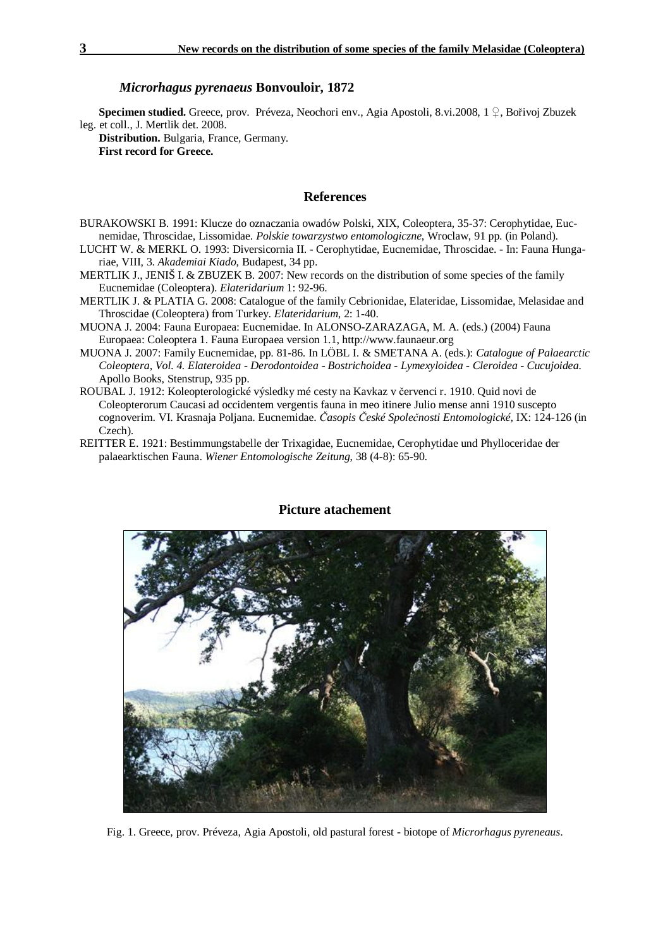#### *Microrhagus pyrenaeus* **Bonvouloir, 1872**

**Specimen studied.** Greece, prov. Préveza, Neochori env., Agia Apostoli, 8.vi.2008, 1 ♀, Bořivoj Zbuzek leg. et coll., J. Mertlik det. 2008.

**Distribution.** Bulgaria, France, Germany. **First record for Greece.** 

## **References**

- BURAKOWSKI B. 1991: Klucze do oznaczania owadów Polski, XIX, Coleoptera, 35-37: Cerophytidae, Eucnemidae, Throscidae, Lissomidae. *Polskie towarzystwo entomologiczne*, Wroclaw, 91 pp. (in Poland).
- LUCHT W. & MERKL O. 1993: Diversicornia II. Cerophytidae, Eucnemidae, Throscidae. In: Fauna Hungariae, VIII, 3. *Akademiai Kiado*, Budapest, 34 pp.
- MERTLIK J., JENIŠ I. & ZBUZEK B. 2007: New records on the distribution of some species of the family Eucnemidae (Coleoptera). *Elateridarium* 1: 92-96.
- MERTLIK J. & PLATIA G. 2008: Catalogue of the family Cebrionidae, Elateridae, Lissomidae, Melasidae and Throscidae (Coleoptera) from Turkey. *Elateridarium*, 2: 1-40.
- MUONA J. 2004: Fauna Europaea: Eucnemidae. In ALONSO-ZARAZAGA, M. A. (eds.) (2004) Fauna Europaea: Coleoptera 1. Fauna Europaea version 1.1, http://www.faunaeur.org
- MUONA J. 2007: Family Eucnemidae, pp. 81-86. In LÖBL I. & SMETANA A. (eds.): *Catalogue of Palaearctic Coleoptera, Vol. 4. Elateroidea - Derodontoidea - Bostrichoidea - Lymexyloidea - Cleroidea - Cucujoidea.* Apollo Books, Stenstrup, 935 pp.
- ROUBAL J. 1912: Koleopterologické výsledky mé cesty na Kavkaz v červenci r. 1910. Quid novi de Coleopterorum Caucasi ad occidentem vergentis fauna in meo itinere Julio mense anni 1910 suscepto cognoverim. VI. Krasnaja Poljana. Eucnemidae. *Časopis České Společnosti Entomologické*, IX: 124-126 (in Czech).
- REITTER E. 1921: Bestimmungstabelle der Trixagidae, Eucnemidae, Cerophytidae und Phylloceridae der palaearktischen Fauna. *Wiener Entomologische Zeitung*, 38 (4-8): 65-90.



## **Picture atachement**

Fig. 1. Greece, prov. Préveza, Agia Apostoli, old pastural forest - biotope of *Microrhagus pyreneaus*.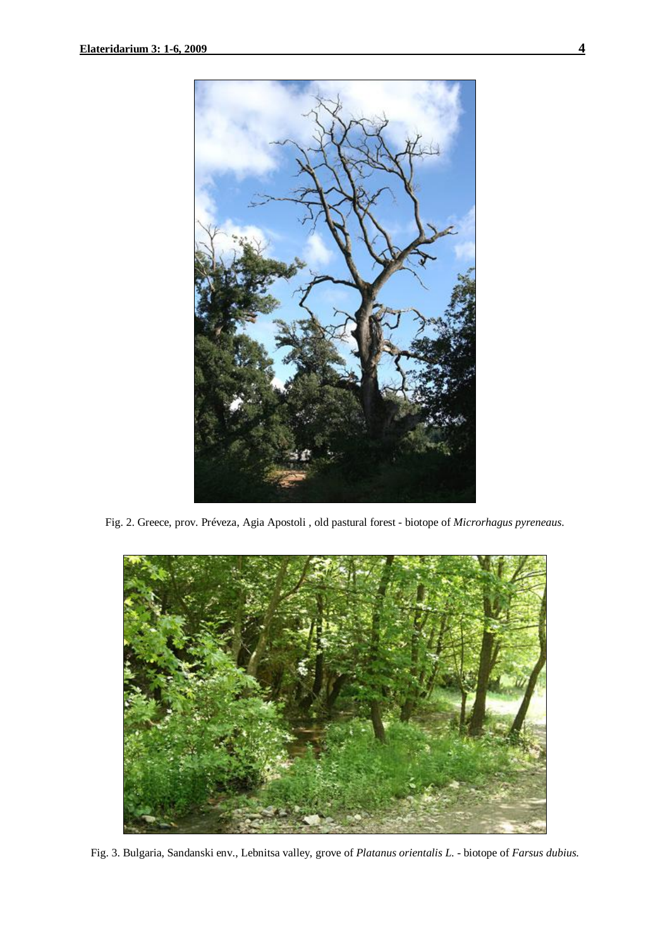

Fig. 2. Greece, prov. Préveza, Agia Apostoli , old pastural forest - biotope of *Microrhagus pyreneaus*.



Fig. 3. Bulgaria, Sandanski env., Lebnitsa valley, grove of *Platanus orientalis L*. - biotope of *Farsus dubius.*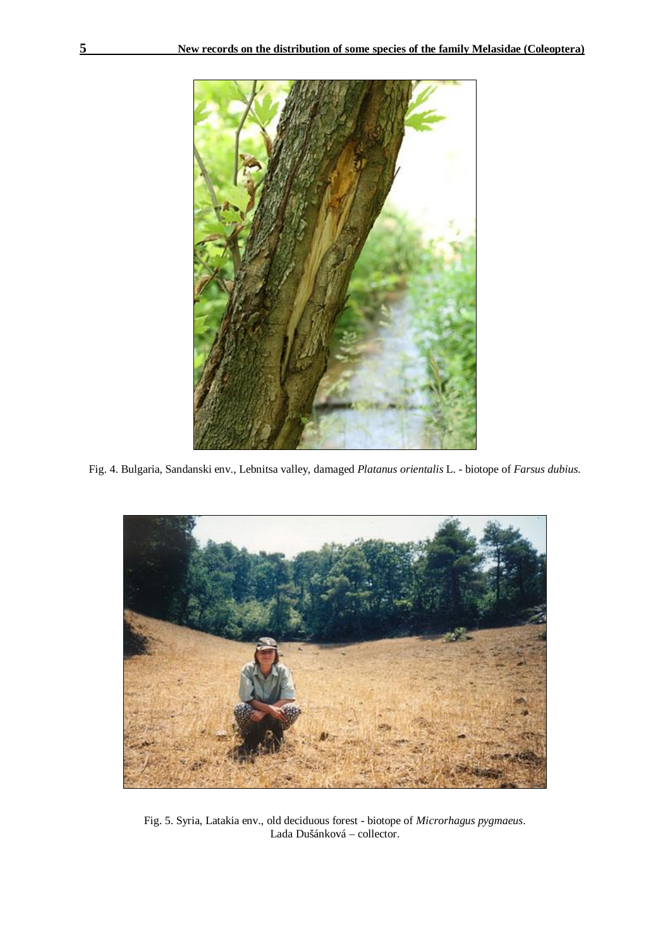

Fig. 4. Bulgaria, Sandanski env., Lebnitsa valley, damaged *Platanus orientalis* L. - biotope of *Farsus dubius.* 



Fig. 5. Syria, Latakia env., old deciduous forest - biotope of *Microrhagus pygmaeus*. Lada Dušánková – collector.